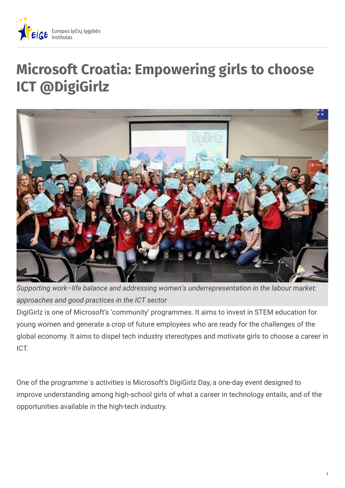

# **Microsoft Croatia: Empowering girls to choose ICT @DigiGirlz**



*Supporting work–life balance and addressing women's underrepresentation in the labour market: approaches and good practices in the ICT sector*

DigiGirlz is one of Microsoft's 'community' programmes. It aims to invest in STEM education for young women and generate a crop of future employees who are ready for the challenges of the global economy. It aims to dispel tech industry stereotypes and motivate girls to choose a career in ICT.

One of the programme´s activities is Microsoft's DigiGirlz Day, a one-day event designed to improve understanding among high-school girls of what a career in technology entails, and of the opportunities available in the high-tech industry.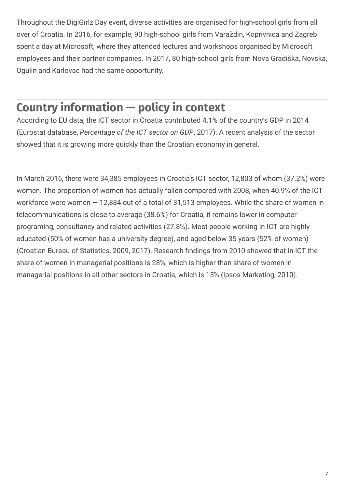Throughout the DigiGirlz Day event, diverse activities are organised for high-school girls from all over of Croatia. In 2016, for example, 90 high-school girls from Varaždin, Koprivnica and Zagreb spent a day at Microsoft, where they attended lectures and workshops organised by Microsoft employees and their partner companies. In 2017, 80 high-school girls from Nova Gradiška, Novska, Ogulin and Karlovac had the same opportunity.

## **Country information — policy in context**

According to EU data, the ICT sector in Croatia contributed 4.1% of the country's GDP in 2014 (Eurostat database, *Percentage of the ICT sector on GDP*, 2017). A recent analysis of the sector showed that it is growing more quickly than the Croatian economy in general.

In March 2016, there were 34,385 employees in Croatia's ICT sector, 12,803 of whom (37.2%) were women. The proportion of women has actually fallen compared with 2008, when 40.9% of the ICT workforce were women — 12,884 out of a total of 31,513 employees. While the share of women in telecommunications is close to average (38.6%) for Croatia, it remains lower in computer programing, consultancy and related activities (27.8%). Most people working in ICT are highly educated (50% of women has a university degree), and aged below 35 years (52% of women) (Croatian Bureau of Statistics, 2009, 2017). Research findings from 2010 showed that in ICT the share of women in managerial positions is 28%, which is higher than share of women in managerial positions in all other sectors in Croatia, which is 15% (Ipsos Marketing, 2010).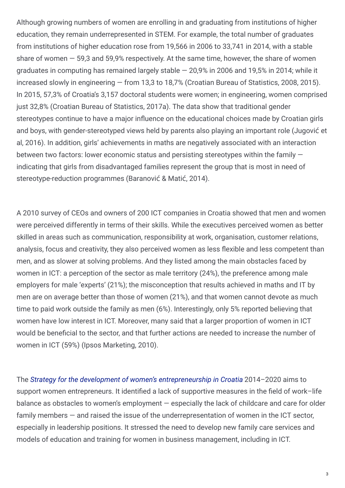Although growing numbers of women are enrolling in and graduating from institutions of higher education, they remain underrepresented in STEM. For example, the total number of graduates from institutions of higher education rose from 19,566 in 2006 to 33,741 in 2014, with a stable share of women  $-59.3$  and 59,9% respectively. At the same time, however, the share of women graduates in computing has remained largely stable — 20,9% in 2006 and 19,5% in 2014; while it increased slowly in engineering — from 13,3 to 18,7% (Croatian Bureau of Statistics, 2008, 2015). In 2015, 57,3% of Croatia's 3,157 doctoral students were women; in engineering, women comprised just 32,8% (Croatian Bureau of Statistics, 2017a). The data show that traditional gender stereotypes continue to have a major influence on the educational choices made by Croatian girls and boys, with gender-stereotyped views held by parents also playing an important role (Jugović et al, 2016). In addition, girls' achievements in maths are negatively associated with an interaction between two factors: lower economic status and persisting stereotypes within the family indicating that girls from disadvantaged families represent the group that is most in need of stereotype-reduction programmes (Baranović & Matić, 2014).

A 2010 survey of CEOs and owners of 200 ICT companies in Croatia showed that men and women were perceived differently in terms of their skills. While the executives perceived women as better skilled in areas such as communication, responsibility at work, organisation, customer relations, analysis, focus and creativity, they also perceived women as less Fexible and less competent than men, and as slower at solving problems. And they listed among the main obstacles faced by women in ICT: a perception of the sector as male territory (24%), the preference among male employers for male 'experts' (21%); the misconception that results achieved in maths and IT by men are on average better than those of women (21%), and that women cannot devote as much time to paid work outside the family as men (6%). Interestingly, only 5% reported believing that women have low interest in ICT. Moreover, many said that a larger proportion of women in ICT would be beneficial to the sector, and that further actions are needed to increase the number of women in ICT (59%) (Ipsos Marketing, 2010).

The *Strategy for the development of women's [entrepreneurship](http:///gender-mainstreaming/resources/croatia/strategy-women-entrepreneurship-development-republic-croatia-2014-2020) in Croatia* 2014–2020 aims to support women entrepreneurs. It identified a lack of supportive measures in the field of work–life balance as obstacles to women's employment — especially the lack of childcare and care for older family members — and raised the issue of the underrepresentation of women in the ICT sector, especially in leadership positions. It stressed the need to develop new family care services and models of education and training for women in business management, including in ICT.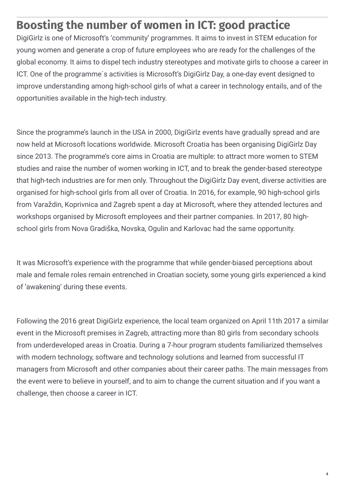### **Boosting the number of women in ICT: good practice**

DigiGirlz is one of Microsoft's 'community' programmes. It aims to invest in STEM education for young women and generate a crop of future employees who are ready for the challenges of the global economy. It aims to dispel tech industry stereotypes and motivate girls to choose a career in ICT. One of the programme´s activities is Microsoft's DigiGirlz Day, a one-day event designed to improve understanding among high-school girls of what a career in technology entails, and of the opportunities available in the high-tech industry.

Since the programme's launch in the USA in 2000, DigiGirlz events have gradually spread and are now held at Microsoft locations worldwide. Microsoft Croatia has been organising DigiGirlz Day since 2013. The programme's core aims in Croatia are multiple: to attract more women to STEM studies and raise the number of women working in ICT, and to break the gender-based stereotype that high-tech industries are for men only. Throughout the DigiGirlz Day event, diverse activities are organised for high-school girls from all over of Croatia. In 2016, for example, 90 high-school girls from Varaždin, Koprivnica and Zagreb spent a day at Microsoft, where they attended lectures and workshops organised by Microsoft employees and their partner companies. In 2017, 80 highschool girls from Nova Gradiška, Novska, Ogulin and Karlovac had the same opportunity.

It was Microsoft's experience with the programme that while gender-biased perceptions about male and female roles remain entrenched in Croatian society, some young girls experienced a kind of 'awakening' during these events.

Following the 2016 great DigiGirlz experience, the local team organized on April 11th 2017 a similar event in the Microsoft premises in Zagreb, attracting more than 80 girls from secondary schools from underdeveloped areas in Croatia. During a 7-hour program students familiarized themselves with modern technology, software and technology solutions and learned from successful IT managers from Microsoft and other companies about their career paths. The main messages from the event were to believe in yourself, and to aim to change the current situation and if you want a challenge, then choose a career in ICT.